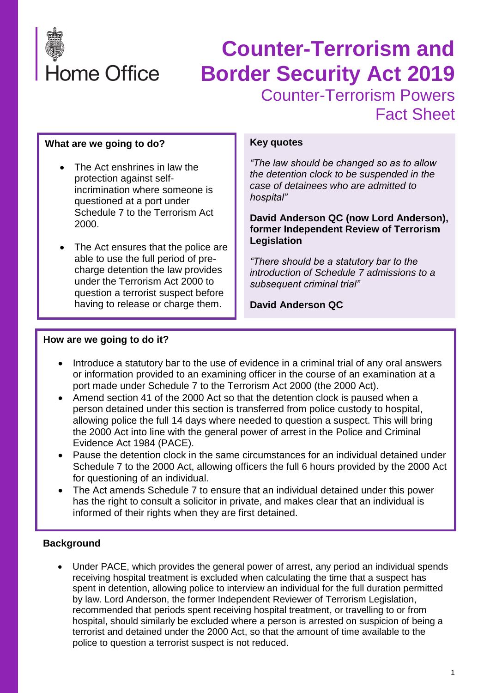

# **Counter-Terrorism and Border Security Act 2019** Counter-Terrorism Powers Fact Sheet

#### **What are we going to do?**

- The Act enshrines in law the protection against selfincrimination where someone is questioned at a port under Schedule 7 to the Terrorism Act 2000.
- The Act ensures that the police are able to use the full period of precharge detention the law provides under the Terrorism Act 2000 to question a terrorist suspect before having to release or charge them.

#### **Key quotes**

*"The law should be changed so as to allow the detention clock to be suspended in the case of detainees who are admitted to hospital"*

**David Anderson QC (now Lord Anderson), former Independent Review of Terrorism Legislation**

*"There should be a statutory bar to the introduction of Schedule 7 admissions to a subsequent criminal trial"*

**David Anderson QC**

#### **How are we going to do it?**

- Introduce a statutory bar to the use of evidence in a criminal trial of any oral answers or information provided to an examining officer in the course of an examination at a port made under Schedule 7 to the Terrorism Act 2000 (the 2000 Act).
- Amend section 41 of the 2000 Act so that the detention clock is paused when a person detained under this section is transferred from police custody to hospital, allowing police the full 14 days where needed to question a suspect. This will bring the 2000 Act into line with the general power of arrest in the Police and Criminal Evidence Act 1984 (PACE).
- Pause the detention clock in the same circumstances for an individual detained under Schedule 7 to the 2000 Act, allowing officers the full 6 hours provided by the 2000 Act for questioning of an individual.
- The Act amends Schedule 7 to ensure that an individual detained under this power has the right to consult a solicitor in private, and makes clear that an individual is informed of their rights when they are first detained.

#### **Background**

• Under PACE, which provides the general power of arrest, any period an individual spends receiving hospital treatment is excluded when calculating the time that a suspect has spent in detention, allowing police to interview an individual for the full duration permitted by law. Lord Anderson, the former Independent Reviewer of Terrorism Legislation, recommended that periods spent receiving hospital treatment, or travelling to or from hospital, should similarly be excluded where a person is arrested on suspicion of being a terrorist and detained under the 2000 Act, so that the amount of time available to the police to question a terrorist suspect is not reduced.